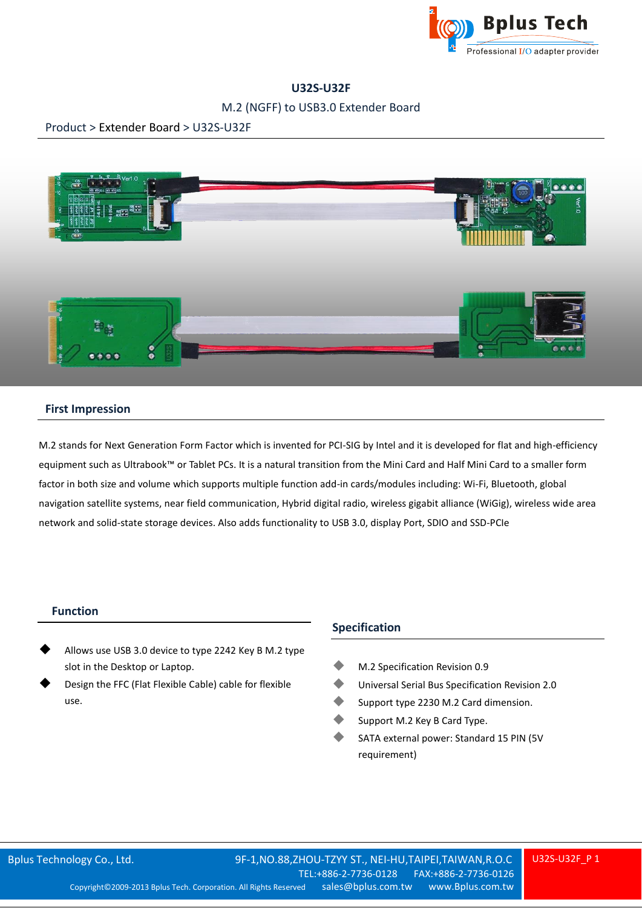

# **U32S-U32F**

## M.2 (NGFF) to USB3.0 Extender Board

### Product > Extender Board > U32S-U32F



### **First Impression**

M.2 stands for Next Generation Form Factor which is invented for PCI-SIG by Intel and it is developed for flat and high-efficiency equipment such as Ultrabook™ or Tablet PCs. It is a natural transition from the Mini Card and Half Mini Card to a smaller form factor in both size and volume which supports multiple function add-in cards/modules including: Wi-Fi, Bluetooth, global navigation satellite systems, near field communication, Hybrid digital radio, wireless gigabit alliance (WiGig), wireless wide area network and solid-state storage devices. Also adds functionality to USB 3.0, display Port, SDIO and SSD-PCIe

#### **Function**

- Allows use USB 3.0 device to type 2242 Key B M.2 type slot in the Desktop or Laptop.
- Design the FFC (Flat Flexible Cable) cable for flexible use.

#### **Specification**

- M.2 Specification Revision 0.9
- Universal Serial Bus Specification Revision 2.0
- Support type 2230 M.2 Card dimension.
- Support M.2 Key B Card Type.
- SATA external power: Standard 15 PIN (5V requirement)